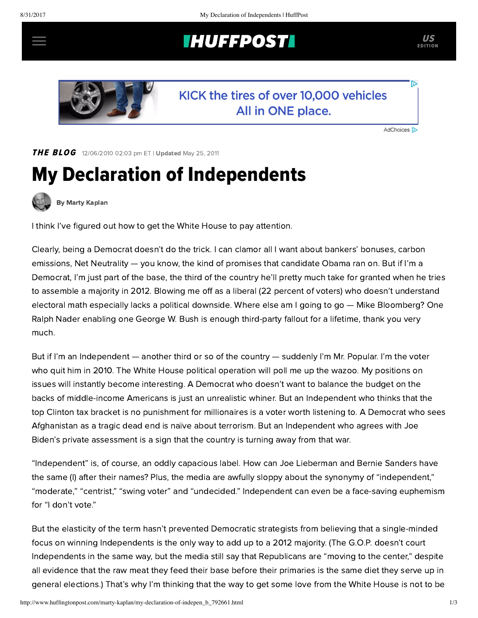## **INUFFPOST**



## KICK the tires of over 10,000 vehicles All in ONE place.

AdChoices [D

THE BLOG 12/06/2010 02:03 pm ET | Updated May 25, 2011

## My Declaration of Independents



[By Marty Kaplan](http://www.huffingtonpost.com/author/marty-kaplan)

I think I've figured out how to get the White House to pay attention.

Clearly, being a Democrat doesn't do the trick. I can clamor all I want about bankers' bonuses, carbon emissions, Net Neutrality — you know, the kind of promises that candidate Obama ran on. But if I'm a Democrat, I'm just part of the base, the third of the country he'll pretty much take for granted when he tries to assemble a majority in 2012. Blowing me off as a liberal (22 percent of voters) who doesn't understand electoral math especially lacks a political downside. Where else am I going to go — Mike Bloomberg? One Ralph Nader enabling one George W. Bush is enough third-party fallout for a lifetime, thank you very much.

But if I'm an Independent — another third or so of the country — suddenly I'm Mr. Popular. I'm the voter who quit him in 2010. The White House political operation will poll me up the wazoo. My positions on issues will instantly become interesting. A Democrat who doesn't want to balance the budget on the backs of middle-income Americans is just an unrealistic whiner. But an Independent who thinks that the top Clinton tax bracket is no punishment for millionaires is a voter worth listening to. A Democrat who sees Afghanistan as a tragic dead end is naïve about terrorism. But an Independent who agrees with Joe Biden's private assessment is a sign that the country is turning away from that war.

"Independent" is, of course, an oddly capacious label. How can Joe Lieberman and Bernie Sanders have the same (I) after their names? Plus, the media are awfully sloppy about the synonymy of "independent," "moderate," "centrist," "swing voter" and "undecided." Independent can even be a face-saving euphemism for "I don't vote."

But the elasticity of the term hasn't prevented Democratic strategists from believing that a single-minded focus on winning Independents is the only way to add up to a 2012 majority. (The G.O.P. doesn't court Independents in the same way, but the media still say that Republicans are "moving to the center," despite all evidence that the raw meat they feed their base before their primaries is the same diet they serve up in general elections.) That's why I'm thinking that the way to get some love from the White House is not to be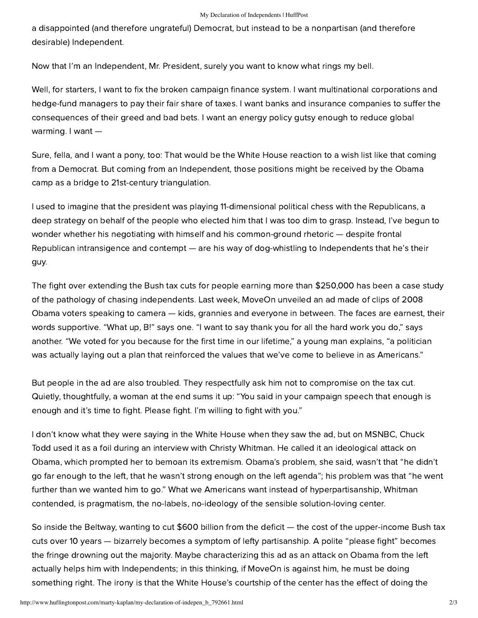a disappointed (and therefore ungrateful) Democrat, but instead to be a nonpartisan (and therefore desirable) Independent.

Now that I'm an Independent, Mr. President, surely you want to know what rings my bell.

Well, for starters, I want to fix the broken campaign finance system. I want multinational corporations and hedge-fund managers to pay their fair share of taxes. I want banks and insurance companies to suffer the consequences of their greed and bad bets. I want an energy policy gutsy enough to reduce global warming. I want —

Sure, fella, and I want a pony, too: That would be the White House reaction to a wish list like that coming from a Democrat. But coming from an Independent, those positions might be received by the Obama camp as a bridge to 21st-century triangulation.

I used to imagine that the president was playing 11-dimensional political chess with the Republicans, a deep strategy on behalf of the people who elected him that I was too dim to grasp. Instead, I've begun to wonder whether his negotiating with himself and his common-ground rhetoric — despite frontal Republican intransigence and contempt — are his way of dog-whistling to Independents that he's their guy.

The fight over extending the Bush tax cuts for people earning more than \$250,000 has been a case study of the pathology of chasing independents. Last week, MoveOn unveiled an [ad](http://www.youtube.com/watch?v=sNeizeFjpe4) made of clips of 2008 Obama voters speaking to camera — kids, grannies and everyone in between. The faces are earnest, their words supportive. "What up, B!" says one. "I want to say thank you for all the hard work you do," says another. "We voted for you because for the first time in our lifetime," a young man explains, "a politician was actually laying out a plan that reinforced the values that we've come to believe in as Americans."

But people in the ad are also troubled. They respectfully ask him not to compromise on the tax cut. Quietly, thoughtfully, a woman at the end sums it up: "You said in your campaign speech that enough is enough and it's time to fight. Please fight. I'm willing to fight with you."

I don't know what they were saying in the White House when they saw the ad, but on MSNBC, Chuck Todd used it as a foil during an interview with Christy Whitman. He called it an ideological attack on Obama, which prompted her to bemoan its extremism. Obama's problem, she said, wasn't that "he didn't go far enough to the left, that he wasn't strong enough on the left agenda"; his problem was that "he went further than we wanted him to go." What we Americans want instead of hyperpartisanship, Whitman contended, is pragmatism, the no-labels, no-ideology of the sensible solution-loving center.

So inside the Beltway, wanting to cut \$600 billion from the deficit - the cost of the upper-income Bush tax cuts over 10 years — bizarrely becomes a symptom of lefty partisanship. A polite "please fight" becomes the fringe drowning out the majority. Maybe characterizing this ad as an attack on Obama from the left actually helps him with Independents; in this thinking, if MoveOn is against him, he must be doing something right. The irony is that the White House's courtship of the center has the effect of doing the